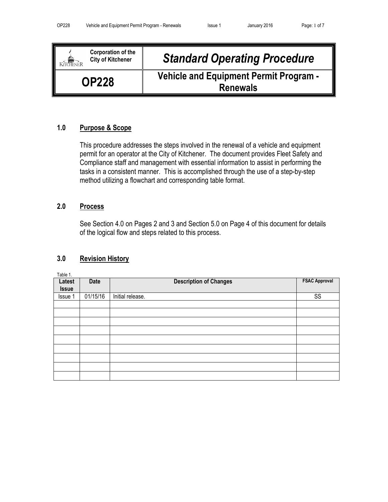| <b>Corporation of the</b><br>City of Kitchener | <b>Standard Operating Procedure</b>                              |
|------------------------------------------------|------------------------------------------------------------------|
| <b>OP228</b>                                   | <b>Vehicle and Equipment Permit Program -</b><br><b>Renewals</b> |

## 1.0 Purpose & Scope

This procedure addresses the steps involved in the renewal of a vehicle and equipment permit for an operator at the City of Kitchener. The document provides Fleet Safety and Compliance staff and management with essential information to assist in performing the tasks in a consistent manner. This is accomplished through the use of a step-by-step method utilizing a flowchart and corresponding table format.

## 2.0 Process

See Section 4.0 on Pages 2 and 3 and Section 5.0 on Page 4 of this document for details of the logical flow and steps related to this process.

# 3.0 Revision History

Table 1.

| Latest<br><b>Issue</b> | Date     | <b>Description of Changes</b> | <b>FSAC Approval</b> |
|------------------------|----------|-------------------------------|----------------------|
| Issue 1                | 01/15/16 | Initial release.              | SS                   |
|                        |          |                               |                      |
|                        |          |                               |                      |
|                        |          |                               |                      |
|                        |          |                               |                      |
|                        |          |                               |                      |
|                        |          |                               |                      |
|                        |          |                               |                      |
|                        |          |                               |                      |
|                        |          |                               |                      |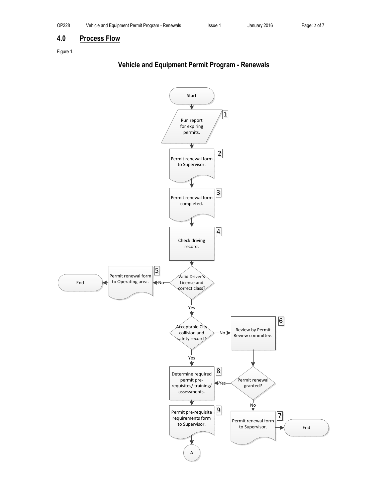### 4.0 Process Flow

Figure 1.

# Vehicle and Equipment Permit Program - Renewals

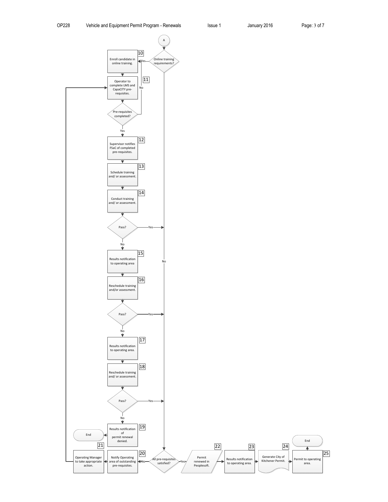25

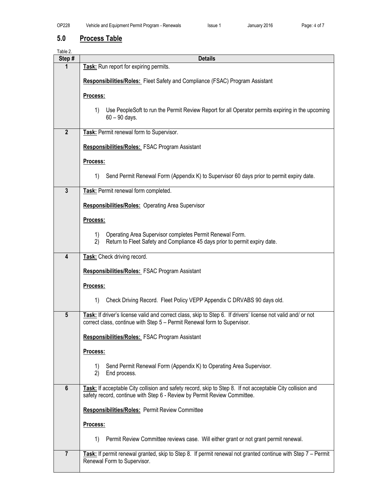# 5.0 Process Table

Table 2.

| i uviu 4.<br>Step# | <b>Details</b>                                                                                                                                                                           |
|--------------------|------------------------------------------------------------------------------------------------------------------------------------------------------------------------------------------|
| 1                  | Task: Run report for expiring permits.                                                                                                                                                   |
|                    | <b>Responsibilities/Roles:</b> Fleet Safety and Compliance (FSAC) Program Assistant                                                                                                      |
|                    | Process:                                                                                                                                                                                 |
|                    | Use PeopleSoft to run the Permit Review Report for all Operator permits expiring in the upcoming<br>1)<br>$60 - 90$ days.                                                                |
| $\overline{2}$     | Task: Permit renewal form to Supervisor.                                                                                                                                                 |
|                    | Responsibilities/Roles: FSAC Program Assistant                                                                                                                                           |
|                    | Process:                                                                                                                                                                                 |
|                    | Send Permit Renewal Form (Appendix K) to Supervisor 60 days prior to permit expiry date.<br>1)                                                                                           |
| $\mathbf{3}$       | Task: Permit renewal form completed.                                                                                                                                                     |
|                    | Responsibilities/Roles: Operating Area Supervisor                                                                                                                                        |
|                    | Process:                                                                                                                                                                                 |
|                    | Operating Area Supervisor completes Permit Renewal Form.<br>1)<br>Return to Fleet Safety and Compliance 45 days prior to permit expiry date.<br>2)                                       |
| 4                  | Task: Check driving record.                                                                                                                                                              |
|                    | <b>Responsibilities/Roles: FSAC Program Assistant</b>                                                                                                                                    |
|                    | Process:                                                                                                                                                                                 |
|                    | Check Driving Record. Fleet Policy VEPP Appendix C DRVABS 90 days old.<br>1)                                                                                                             |
| $5\phantom{1}$     | Task: If driver's license valid and correct class, skip to Step 6. If drivers' license not valid and/ or not<br>correct class, continue with Step 5 - Permit Renewal form to Supervisor. |
|                    | Responsibilities/Roles: FSAC Program Assistant                                                                                                                                           |
|                    | Process:                                                                                                                                                                                 |
|                    | Send Permit Renewal Form (Appendix K) to Operating Area Supervisor.<br>1)<br>2)<br>End process.                                                                                          |
| $6\phantom{1}$     | Task: If acceptable City collision and safety record, skip to Step 8. If not acceptable City collision and<br>safety record, continue with Step 6 - Review by Permit Review Committee.   |
|                    | Responsibilities/Roles: Permit Review Committee                                                                                                                                          |
|                    | Process:                                                                                                                                                                                 |
|                    | Permit Review Committee reviews case. Will either grant or not grant permit renewal.<br>1)                                                                                               |
| $\overline{7}$     | Task: If permit renewal granted, skip to Step 8. If permit renewal not granted continue with Step 7 - Permit<br>Renewal Form to Supervisor.                                              |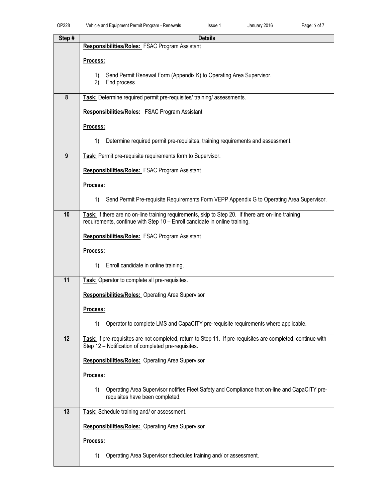| Step#                   | <b>Details</b>                                                                                               |
|-------------------------|--------------------------------------------------------------------------------------------------------------|
|                         | Responsibilities/Roles: FSAC Program Assistant                                                               |
|                         | Process:                                                                                                     |
|                         | Send Permit Renewal Form (Appendix K) to Operating Area Supervisor.<br>1)                                    |
|                         | 2)<br>End process.                                                                                           |
| $\overline{\mathbf{8}}$ | Task: Determine required permit pre-requisites/ training/ assessments.                                       |
|                         | Responsibilities/Roles: FSAC Program Assistant                                                               |
|                         | Process:                                                                                                     |
|                         | 1)<br>Determine required permit pre-requisites, training requirements and assessment.                        |
| 9                       | Task: Permit pre-requisite requirements form to Supervisor.                                                  |
|                         | <b>Responsibilities/Roles: FSAC Program Assistant</b>                                                        |
|                         | Process:                                                                                                     |
|                         | Send Permit Pre-requisite Requirements Form VEPP Appendix G to Operating Area Supervisor.<br>1)              |
| 10                      | Task: If there are no on-line training requirements, skip to Step 20. If there are on-line training          |
|                         | requirements, continue with Step 10 - Enroll candidate in online training.                                   |
|                         | Responsibilities/Roles: FSAC Program Assistant                                                               |
|                         | Process:                                                                                                     |
|                         | 1)<br>Enroll candidate in online training.                                                                   |
| 11                      | Task: Operator to complete all pre-requisites.                                                               |
|                         | <b>Responsibilities/Roles: Operating Area Supervisor</b>                                                     |
|                         | Process:                                                                                                     |
|                         | Operator to complete LMS and CapaCITY pre-requisite requirements where applicable.<br>1)                     |
| 12                      | Task: If pre-requisites are not completed, return to Step 11. If pre-requisites are completed, continue with |
|                         | Step 12 - Notification of completed pre-requisites.                                                          |
|                         | Responsibilities/Roles: Operating Area Supervisor                                                            |
|                         | Process:                                                                                                     |
|                         | 1)<br>Operating Area Supervisor notifies Fleet Safety and Compliance that on-line and CapaCITY pre-          |
|                         | requisites have been completed.                                                                              |
| 13                      | Task: Schedule training and/ or assessment.                                                                  |
|                         | <b>Responsibilities/Roles: Operating Area Supervisor</b>                                                     |
|                         | Process:                                                                                                     |
|                         | Operating Area Supervisor schedules training and/ or assessment.<br>1)                                       |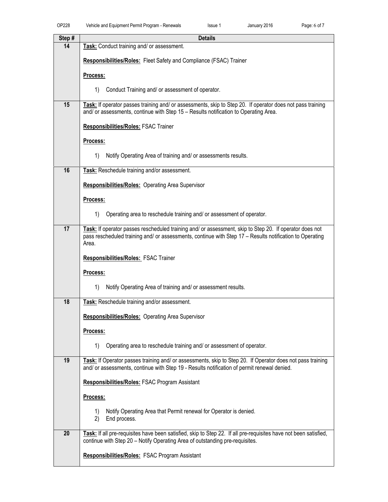| Step# | <b>Details</b>                                                                                                                                                                                            |
|-------|-----------------------------------------------------------------------------------------------------------------------------------------------------------------------------------------------------------|
| 14    | Task: Conduct training and/ or assessment.                                                                                                                                                                |
|       | <b>Responsibilities/Roles:</b> Fleet Safety and Compliance (FSAC) Trainer                                                                                                                                 |
|       | Process:                                                                                                                                                                                                  |
|       | Conduct Training and/ or assessment of operator.<br>1)                                                                                                                                                    |
| 15    | Task: If operator passes training and/ or assessments, skip to Step 20. If operator does not pass training<br>and/ or assessments, continue with Step 15 - Results notification to Operating Area.        |
|       | <b>Responsibilities/Roles: FSAC Trainer</b>                                                                                                                                                               |
|       | Process:                                                                                                                                                                                                  |
|       | Notify Operating Area of training and/ or assessments results.<br>1)                                                                                                                                      |
|       |                                                                                                                                                                                                           |
| 16    | Task: Reschedule training and/or assessment.                                                                                                                                                              |
|       | <b>Responsibilities/Roles: Operating Area Supervisor</b>                                                                                                                                                  |
|       | Process:                                                                                                                                                                                                  |
|       | 1)<br>Operating area to reschedule training and/ or assessment of operator.                                                                                                                               |
| 17    | Task: If operator passes rescheduled training and/ or assessment, skip to Step 20. If operator does not                                                                                                   |
|       | pass rescheduled training and/ or assessments, continue with Step 17 - Results notification to Operating<br>Area.                                                                                         |
|       | <b>Responsibilities/Roles: FSAC Trainer</b>                                                                                                                                                               |
|       | Process:                                                                                                                                                                                                  |
|       | Notify Operating Area of training and/ or assessment results.<br>1)                                                                                                                                       |
| 18    | Task: Reschedule training and/or assessment.                                                                                                                                                              |
|       | <b>Responsibilities/Roles:</b> Operating Area Supervisor                                                                                                                                                  |
|       | Process:                                                                                                                                                                                                  |
|       | Operating area to reschedule training and/ or assessment of operator.<br>1)                                                                                                                               |
|       |                                                                                                                                                                                                           |
| 19    | Task: If Operator passes training and/ or assessments, skip to Step 20. If Operator does not pass training<br>and/ or assessments, continue with Step 19 - Results notification of permit renewal denied. |
|       | <b>Responsibilities/Roles: FSAC Program Assistant</b>                                                                                                                                                     |
|       | Process:                                                                                                                                                                                                  |
|       | Notify Operating Area that Permit renewal for Operator is denied.<br>1)<br>2)<br>End process.                                                                                                             |
| 20    | Task: If all pre-requisites have been satisfied, skip to Step 22. If all pre-requisites have not been satisfied,<br>continue with Step 20 - Notify Operating Area of outstanding pre-requisites.          |
|       | Responsibilities/Roles: FSAC Program Assistant                                                                                                                                                            |